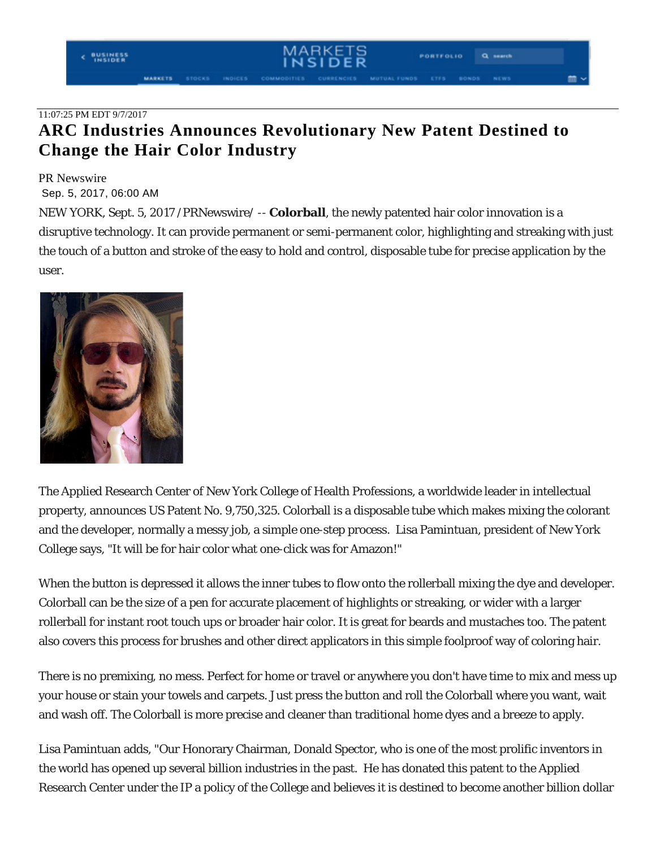## 11:07:25 PM EDT 9/7/2017

# **ARC Industries Announces Revolutionary New Patent Destined to Change the Hair Color Industry**

#### PR Newswire

## Sep. 5, 2017, 06:00 AM

NEW YORK, Sept. 5, 2017 /PRNewswire/ -- **Colorball**, the newly patented hair color innovation is a disruptive technology. It can provide permanent or semi-permanent color, highlighting and streaking with just the touch of a button and stroke of the easy to hold and control, disposable tube for precise application by the user.



The Applied Research Center of New York College of Health Professions, a worldwide leader in intellectual property, announces US Patent No. 9,750,325. Colorball is a disposable tube which makes mixing the colorant and the developer, normally a messy job, a simple one-step process. Lisa Pamintuan, president of New York College says, "It will be for hair color what one-click was for Amazon!"

When the button is depressed it allows the inner tubes to flow onto the rollerball mixing the dye and developer. Colorball can be the size of a pen for accurate placement of highlights or streaking, or wider with a larger rollerball for instant root touch ups or broader hair color. It is great for beards and mustaches too. The patent also covers this process for brushes and other direct applicators in this simple foolproof way of coloring hair.

There is no premixing, no mess. Perfect for home or travel or anywhere you don't have time to mix and mess up your house or stain your towels and carpets. Just press the button and roll the Colorball where you want, wait and wash off. The Colorball is more precise and cleaner than traditional home dyes and a breeze to apply.

Lisa Pamintuan adds, "Our Honorary Chairman, Donald Spector, who is one of the most prolific inventors in the world has opened up several billion industries in the past. He has donated this patent to the Applied Research Center under the IP a policy of the College and believes it is destined to become another billion dollar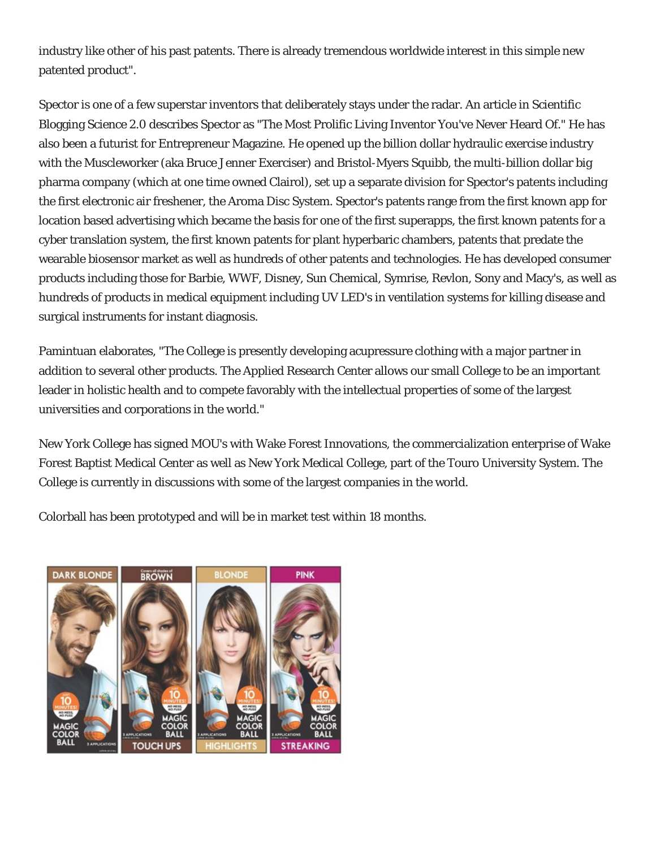industry like other of his past patents. There is already tremendous worldwide interest in this simple new patented product".

Spector is one of a few superstar inventors that deliberately stays under the radar. An article in Scientific Blogging Science 2.0 describes Spector as "The Most Prolific Living Inventor You've Never Heard Of." He has also been a futurist for Entrepreneur Magazine. He opened up the billion dollar hydraulic exercise industry with the Muscleworker (aka Bruce Jenner Exerciser) and Bristol-Myers Squibb, the multi-billion dollar big pharma company (which at one time owned Clairol), set up a separate division for Spector's patents including the first electronic air freshener, the Aroma Disc System. Spector's patents range from the first known app for location based advertising which became the basis for one of the first superapps, the first known patents for a cyber translation system, the first known patents for plant hyperbaric chambers, patents that predate the wearable biosensor market as well as hundreds of other patents and technologies. He has developed consumer products including those for Barbie, WWF, Disney, Sun Chemical, Symrise, Revlon, Sony and Macy's, as well as hundreds of products in medical equipment including UV LED's in ventilation systems for killing disease and surgical instruments for instant diagnosis.

Pamintuan elaborates, "The College is presently developing acupressure clothing with a major partner in addition to several other products. The Applied Research Center allows our small College to be an important leader in holistic health and to compete favorably with the intellectual properties of some of the largest universities and corporations in the world."

New York College has signed MOU's with Wake Forest Innovations, the commercialization enterprise of Wake Forest Baptist Medical Center as well as New York Medical College, part of the Touro University System. The College is currently in discussions with some of the largest companies in the world.

Colorball has been prototyped and will be in market test within 18 months.